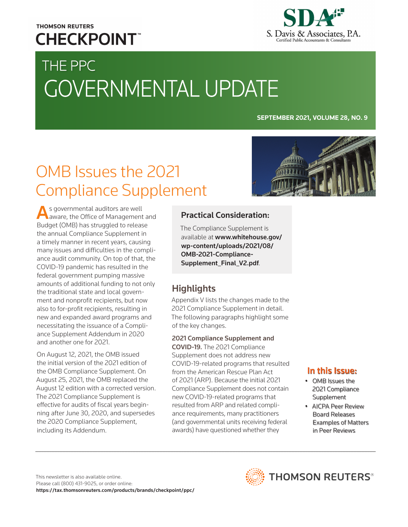## **THOMSON REUTERS CHECKPOINT**



# THE PPC GOVERNMENTAL UPDATE

### **SEPTEMBER 2021, VOLUME 28, NO. 9**

## OMB Issues the 2021 Compliance Supplement

As governmental auditors are well aware, the Office of Management and Budget (OMB) has struggled to release the annual Compliance Supplement in a timely manner in recent years, causing many issues and difficulties in the compliance audit community. On top of that, the COVID-19 pandemic has resulted in the federal government pumping massive amounts of additional funding to not only the traditional state and local government and nonprofit recipients, but now also to for-profit recipients, resulting in new and expanded award programs and necessitating the issuance of a Compliance Supplement Addendum in 2020 and another one for 2021.

On August 12, 2021, the OMB issued the initial version of the 2021 edition of the OMB Compliance Supplement. On August 25, 2021, the OMB replaced the August 12 edition with a corrected version. The 2021 Compliance Supplement is effective for audits of fiscal years beginning after June 30, 2020, and supersedes the 2020 Compliance Supplement, including its Addendum.

## Practical Consideration:

The Compliance Supplement is available at www.whitehouse.gov/ [wp-content/uploads/2021/08/](https://www.whitehouse.gov/wp-content/uploads/2021/08/OMB-2021-Compliance-Supplement_Final_V2.pdf) OMB-2021-Compliance-Supplement\_Final\_V2.pdf.

## **Highlights**

Appendix V lists the changes made to the 2021 Compliance Supplement in detail. The following paragraphs highlight some of the key changes.

2021 Compliance Supplement and COVID-19. The 2021 Compliance Supplement does not address new COVID-19-related programs that resulted from the American Rescue Plan Act of 2021 (ARP). Because the initial 2021 Compliance Supplement does not contain new COVID-19-related programs that resulted from ARP and related compliance requirements, many practitioners (and governmental units receiving federal awards) have questioned whether they

## In this Issue:

- OMB Issues the 2021 Compliance Supplement
- AICPA Peer Review Board Releases Examples of Matters in Peer Reviews

This newsletter is also available online. Please call (800) 431-9025, or order online: <https://tax.thomsonreuters.com/products/brands/checkpoint/ppc/>



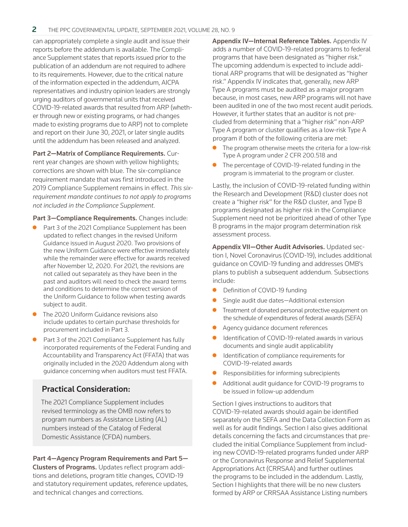can appropriately complete a single audit and issue their reports before the addendum is available. The Compliance Supplement states that reports issued prior to the publication of an addendum are not required to adhere to its requirements. However, due to the critical nature of the information expected in the addendum, AICPA representatives and industry opinion leaders are strongly urging auditors of governmental units that received COVID-19-related awards that resulted from ARP (whether through new or existing programs, or had changes made to existing programs due to ARP) not to complete and report on their June 30, 2021, or later single audits until the addendum has been released and analyzed.

Part 2—Matrix of Compliance Requirements. Current year changes are shown with yellow highlights; corrections are shown with blue. The six-compliance requirement mandate that was first introduced in the 2019 Compliance Supplement remains in effect. *This sixrequirement mandate continues to not apply to programs not included in the Compliance Supplement.*

Part 3-Compliance Requirements. Changes include:

- Part 3 of the 2021 Compliance Supplement has been updated to reflect changes in the revised Uniform Guidance issued in August 2020. Two provisions of the new Uniform Guidance were effective immediately while the remainder were effective for awards received after November 12, 2020. For 2021, the revisions are not called out separately as they have been in the past and auditors will need to check the award terms and conditions to determine the correct version of the Uniform Guidance to follow when testing awards subject to audit.
- The 2020 Uniform Guidance revisions also include updates to certain purchase thresholds for procurement included in Part 3.
- Part 3 of the 2021 Compliance Supplement has fully incorporated requirements of the Federal Funding and Accountability and Transparency Act (FFATA) that was originally included in the 2020 Addendum along with guidance concerning when auditors must test FFATA.

## Practical Consideration:

The 2021 Compliance Supplement includes revised terminology as the OMB now refers to program numbers as Assistance Listing (AL) numbers instead of the Catalog of Federal Domestic Assistance (CFDA) numbers.

### Part 4—Agency Program Requirements and Part 5—

Clusters of Programs. Updates reflect program additions and deletions, program title changes, COVID-19 and statutory requirement updates, reference updates, and technical changes and corrections.

Appendix IV—Internal Reference Tables. Appendix IV adds a number of COVID-19-related programs to federal programs that have been designated as "higher risk." The upcoming addendum is expected to include additional ARP programs that will be designated as "higher risk." Appendix IV indicates that, generally, new ARP Type A programs must be audited as a major program because, in most cases, new ARP programs will not have been audited in one of the two most recent audit periods. However, it further states that an auditor is not precluded from determining that a "higher risk" non-ARP Type A program or cluster qualifies as a low-risk Type A program if both of the following criteria are met:

- The program otherwise meets the criteria for a low-risk Type A program under 2 CFR 200.518 and
- The percentage of COVID-19-related funding in the program is immaterial to the program or cluster.

Lastly, the inclusion of COVID-19-related funding within the Research and Development (R&D) cluster does not create a "higher risk" for the R&D cluster, and Type B programs designated as higher risk in the Compliance Supplement need not be prioritized ahead of other Type B programs in the major program determination risk assessment process.

Appendix VII—Other Audit Advisories. Updated section I, Novel Coronavirus (COVID-19), includes additional guidance on COVID-19 funding and addresses OMB's plans to publish a subsequent addendum. Subsections include:

- Definition of COVID-19 funding
- Single audit due dates-Additional extension
- **•** Treatment of donated personal protective equipment on the schedule of expenditures of federal awards (SEFA)
- Agency guidance document references
- Identification of COVID-19-related awards in various documents and single audit applicability
- $\bullet$  Identification of compliance requirements for COVID-19-related awards
- $\bullet$  Responsibilities for informing subrecipients
- Additional audit quidance for COVID-19 programs to be issued in follow-up addendum

Section I gives instructions to auditors that COVID-19-related awards should again be identified separately on the SEFA and the Data Collection Form as well as for audit findings. Section I also gives additional details concerning the facts and circumstances that precluded the initial Compliance Supplement from including new COVID-19-related programs funded under ARP or the Coronavirus Response and Relief Supplemental Appropriations Act (CRRSAA) and further outlines the programs to be included in the addendum. Lastly, Section I highlights that there will be no new clusters formed by ARP or CRRSAA Assistance Listing numbers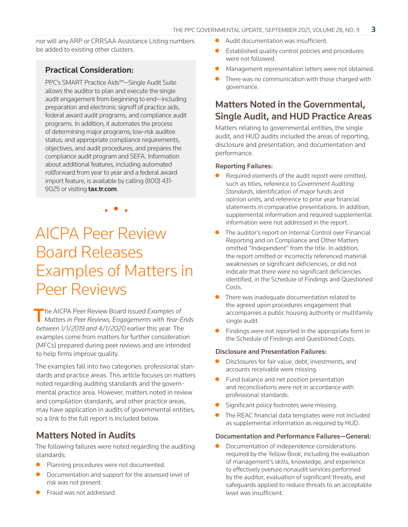nor will any ARP or CRRSAA Assistance Listing numbers be added to existing other clusters.

## Practical Consideration:

PPC's SMART Practice Aids™—Single Audit Suite allows the auditor to plan and execute the single audit engagement from beginning to end—including preparation and electronic signoff of practice aids, federal award audit programs, and compliance audit programs. In addition, it automates the process of determining major programs; low-risk auditee status; and appropriate compliance requirements, objectives, and audit procedures, and prepares the compliance audit program and SEFA. Information about additional features, including automated rollforward from year to year and a federal award import feature, is available by calling (800) 431- 9025 or visiting **[tax.tr.com](http://tax.tr.com)**.

## AICPA Peer Review Board Releases Examples of Matters in Peer Reviews

• • •

The AICPA Peer Review Board issued *Examples of Matters in Peer Reviews*, *Engagements with Year-Ends between 1/1/2019 and 4/1/2020* earlier this year. The examples come from matters for further consideration (MFCs) prepared during peer reviews and are intended to help firms improve quality.

The examples fall into two categories: professional standards and practice areas. This article focuses on matters noted regarding auditing standards and the governmental practice area. However, matters noted in review and compilation standards, and other practice areas, may have application in audits of governmental entities, so a link to the full report is included below.

## Matters Noted in Audits

The following failures were noted regarding the auditing standards:

- Planning procedures were not documented.
- Documentation and support for the assessed level of risk was not present.
- z Fraud was not addressed.
- Audit documentation was insufficient.
- Established quality control policies and procedures were not followed.
- Management representation letters were not obtained.
- There was no communication with those charged with governance.

## Matters Noted in the Governmental, Single Audit, and HUD Practice Areas

Matters relating to governmental entities, the single audit, and HUD audits included the areas of reporting, disclosure and presentation, and documentation and performance.

### Reporting Failures:

- Required elements of the audit report were omitted, such as titles, reference to *Government Auditing Standards*, identification of major funds and opinion units, and reference to prior year financial statements in comparative presentations. In addition, supplemental information and required supplemental information were not addressed in the report.
- The auditor's report on Internal Control over Financial Reporting and on Compliance and Other Matters omitted "Independent" from the title. In addition, the report omitted or incorrectly referenced material weaknesses or significant deficiencies, or did not indicate that there were no significant deficiencies identified, in the Schedule of Findings and Questioned Costs.
- There was inadequate documentation related to the agreed upon procedures engagement that accompanies a public housing authority or multifamily single audit.
- Findings were not reported in the appropriate form in the Schedule of Findings and Questioned Costs.

### Disclosure and Presentation Failures:

- Disclosures for fair value, debt, investments, and accounts receivable were missing.
- Fund balance and net position presentation and reconciliations were not in accordance with professional standards.
- Significant policy footnotes were missing.
- The REAC financial data templates were not included as supplemental information as required by HUD.

### Documentation and Performance Failures—General:

Documentation of independence considerations required by the Yellow Book, including the evaluation of management's skills, knowledge, and experience to effectively oversee nonaudit services performed by the auditor, evaluation of significant threats, and safeguards applied to reduce threats to an acceptable level was insufficient.